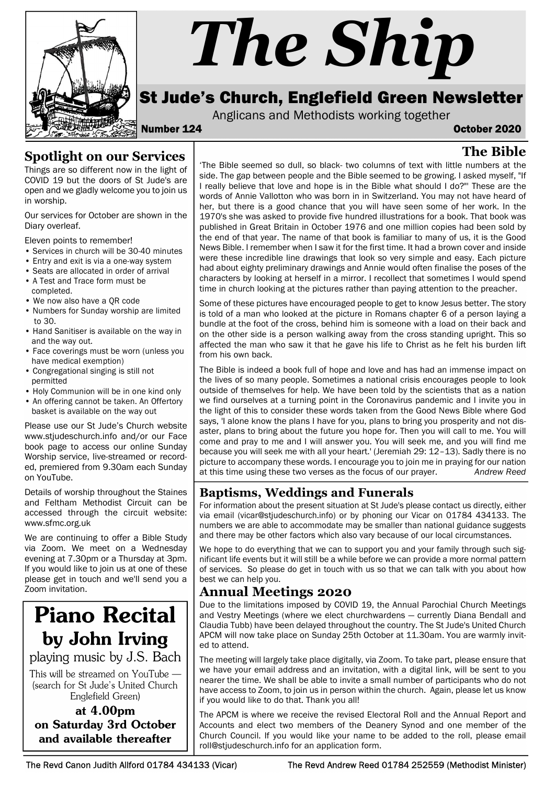

# The Ship

# St Jude's Church, Englefield Green Newsletter

Anglicans and Methodists working together

#### Number 124 October 2020

The Bible

## Spotlight on our Services

Things are so different now in the light of COVID 19 but the doors of St Jude's are open and we gladly welcome you to join us in worship.

Our services for October are shown in the Diary overleaf.

Eleven points to remember!

- Services in church will be 30-40 minutes
- Entry and exit is via a one-way system
- Seats are allocated in order of arrival
- A Test and Trace form must be completed.
- We now also have a QR code
- Numbers for Sunday worship are limited to 30.
- Hand Sanitiser is available on the way in and the way out.
- Face coverings must be worn (unless you have medical exemption)
- Congregational singing is still not permitted
- Holy Communion will be in one kind only
- An offering cannot be taken. An Offertory basket is available on the way out

Please use our St Jude's Church website www.stjudeschurch.info and/or our Face book page to access our online Sunday Worship service, live-streamed or recorded, premiered from 9.30am each Sunday on YouTube.

Details of worship throughout the Staines and Feltham Methodist Circuit can be accessed through the circuit website: www.sfmc.org.uk

We are continuing to offer a Bible Study via Zoom. We meet on a Wednesday evening at 7.30pm or a Thursday at 3pm. If you would like to join us at one of these please get in touch and we'll send you a Zoom invitation.

# **Piano Recital** by John Irving

playing music by J.S. Bach

This will be streamed on YouTube -(search for St Jude's United Church Englefield Green)

#### at 4.00pm on Saturday 3rd October and available thereafter

'The Bible seemed so dull, so black- two columns of text with little numbers at the side. The gap between people and the Bible seemed to be growing. I asked myself, "If I really believe that love and hope is in the Bible what should I do?"' These are the words of Annie Vallotton who was born in in Switzerland. You may not have heard of her, but there is a good chance that you will have seen some of her work. In the 1970's she was asked to provide five hundred illustrations for a book. That book was published in Great Britain in October 1976 and one million copies had been sold by the end of that year. The name of that book is familiar to many of us, it is the Good News Bible. I remember when I saw it for the first time. It had a brown cover and inside were these incredible line drawings that look so very simple and easy. Each picture had about eighty preliminary drawings and Annie would often finalise the poses of the characters by looking at herself in a mirror. I recollect that sometimes I would spend time in church looking at the pictures rather than paying attention to the preacher.

Some of these pictures have encouraged people to get to know Jesus better. The story is told of a man who looked at the picture in Romans chapter 6 of a person laying a bundle at the foot of the cross, behind him is someone with a load on their back and on the other side is a person walking away from the cross standing upright. This so affected the man who saw it that he gave his life to Christ as he felt his burden lift from his own back.

The Bible is indeed a book full of hope and love and has had an immense impact on the lives of so many people. Sometimes a national crisis encourages people to look outside of themselves for help. We have been told by the scientists that as a nation we find ourselves at a turning point in the Coronavirus pandemic and I invite you in the light of this to consider these words taken from the Good News Bible where God says, 'I alone know the plans I have for you, plans to bring you prosperity and not disaster, plans to bring about the future you hope for. Then you will call to me. You will come and pray to me and I will answer you. You will seek me, and you will find me because you will seek me with all your heart.' (Jeremiah 29: 12–13). Sadly there is no picture to accompany these words. I encourage you to join me in praying for our nation at this time using these two verses as the focus of our prayer. Andrew Reed

#### Baptisms, Weddings and Funerals

For information about the present situation at St Jude's please contact us directly, either via email (vicar@stjudeschurch.info) or by phoning our Vicar on 01784 434133. The numbers we are able to accommodate may be smaller than national guidance suggests and there may be other factors which also vary because of our local circumstances.

We hope to do everything that we can to support you and your family through such significant life events but it will still be a while before we can provide a more normal pattern of services. So please do get in touch with us so that we can talk with you about how best we can help you.

#### Annual Meetings 2020

Due to the limitations imposed by COVID 19, the Annual Parochial Church Meetings and Vestry Meetings (where we elect churchwardens — currently Diana Bendall and Claudia Tubb) have been delayed throughout the country. The St Jude's United Church APCM will now take place on Sunday 25th October at 11.30am. You are warmly invited to attend.

The meeting will largely take place digitally, via Zoom. To take part, please ensure that we have your email address and an invitation, with a digital link, will be sent to you nearer the time. We shall be able to invite a small number of participants who do not have access to Zoom, to join us in person within the church. Again, please let us know if you would like to do that. Thank you all!

The APCM is where we receive the revised Electoral Roll and the Annual Report and Accounts and elect two members of the Deanery Synod and one member of the Church Council. If you would like your name to be added to the roll, please email roll@stjudeschurch.info for an application form.